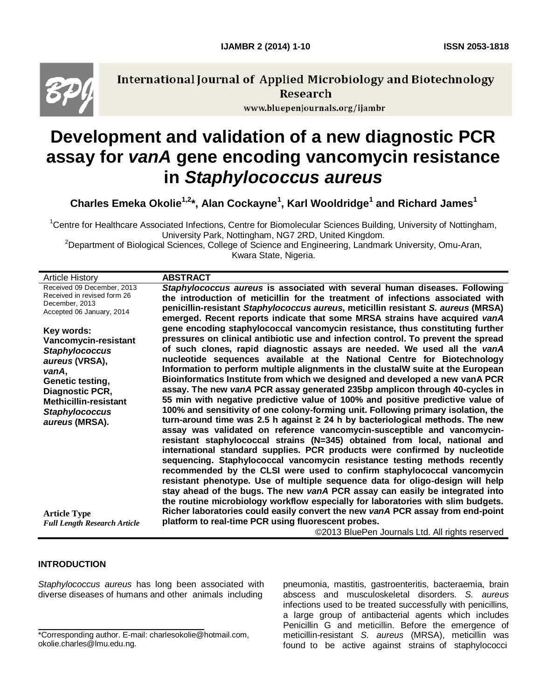

**International Journal of Applied Microbiology and Biotechnology** Research

www.bluepenjournals.org/ijambr

# **Development and validation of a new diagnostic PCR assay for** *vanA* **gene encoding vancomycin resistance in** *Staphylococcus aureus*

**Charles Emeka Okolie1,2\*, Alan Cockayne<sup>1</sup> , Karl Wooldridge<sup>1</sup> and Richard James<sup>1</sup>**

<sup>1</sup>Centre for Healthcare Associated Infections, Centre for Biomolecular Sciences Building, University of Nottingham, University Park, Nottingham, NG7 2RD, United Kingdom.

<sup>2</sup>Department of Biological Sciences, College of Science and Engineering, Landmark University, Omu-Aran,

Kwara State, Nigeria.

| <b>ABSTRACT</b>                                                                                                                                                                                                                                                                                                                                                                                                                                                                                                                                                                                                                                                                                                                                                                                                                                                                                                                                                                                                                                                                                                                                                                                                                         |
|-----------------------------------------------------------------------------------------------------------------------------------------------------------------------------------------------------------------------------------------------------------------------------------------------------------------------------------------------------------------------------------------------------------------------------------------------------------------------------------------------------------------------------------------------------------------------------------------------------------------------------------------------------------------------------------------------------------------------------------------------------------------------------------------------------------------------------------------------------------------------------------------------------------------------------------------------------------------------------------------------------------------------------------------------------------------------------------------------------------------------------------------------------------------------------------------------------------------------------------------|
| Staphylococcus aureus is associated with several human diseases. Following<br>the introduction of meticillin for the treatment of infections associated with<br>penicillin-resistant Staphylococcus aureus, meticillin resistant S. aureus (MRSA)<br>emerged. Recent reports indicate that some MRSA strains have acquired vanA                                                                                                                                                                                                                                                                                                                                                                                                                                                                                                                                                                                                                                                                                                                                                                                                                                                                                                         |
| gene encoding staphylococcal vancomycin resistance, thus constituting further<br>pressures on clinical antibiotic use and infection control. To prevent the spread<br>of such clones, rapid diagnostic assays are needed. We used all the vanA<br>nucleotide sequences available at the National Centre for Biotechnology<br>Information to perform multiple alignments in the clustalW suite at the European<br>Bioinformatics Institute from which we designed and developed a new vanA PCR<br>assay. The new vanA PCR assay generated 235bp amplicon through 40-cycles in<br>55 min with negative predictive value of 100% and positive predictive value of<br>100% and sensitivity of one colony-forming unit. Following primary isolation, the<br>turn-around time was 2.5 h against $\geq$ 24 h by bacteriological methods. The new<br>assay was validated on reference vancomycin-susceptible and vancomycin-<br>resistant staphylococcal strains (N=345) obtained from local, national and<br>international standard supplies. PCR products were confirmed by nucleotide<br>sequencing. Staphylococcal vancomycin resistance testing methods recently<br>recommended by the CLSI were used to confirm staphylococcal vancomycin |
| resistant phenotype. Use of multiple sequence data for oligo-design will help<br>stay ahead of the bugs. The new vanA PCR assay can easily be integrated into<br>the routine microbiology workflow especially for laboratories with slim budgets.<br>Richer laboratories could easily convert the new vanA PCR assay from end-point<br>platform to real-time PCR using fluorescent probes.<br>@2012 BlueBon, Journale Ltd. All rights researed                                                                                                                                                                                                                                                                                                                                                                                                                                                                                                                                                                                                                                                                                                                                                                                          |
|                                                                                                                                                                                                                                                                                                                                                                                                                                                                                                                                                                                                                                                                                                                                                                                                                                                                                                                                                                                                                                                                                                                                                                                                                                         |

©2013 BluePen Journals Ltd. All rights reserved

### **INTRODUCTION**

*Staphylococcus aureus* has long been associated with diverse diseases of humans and other animals including

pneumonia, mastitis, gastroenteritis, bacteraemia, brain abscess and musculoskeletal disorders. *S. aureus* infections used to be treated successfully with penicillins, a large group of antibacterial agents which includes Penicillin G and meticillin. Before the emergence of meticillin-resistant *S. aureus* (MRSA), meticillin was found to be active against strains of staphylococci

<sup>\*</sup>Corresponding author. E-mail: charlesokolie@hotmail.com, okolie.charles@lmu.edu.ng.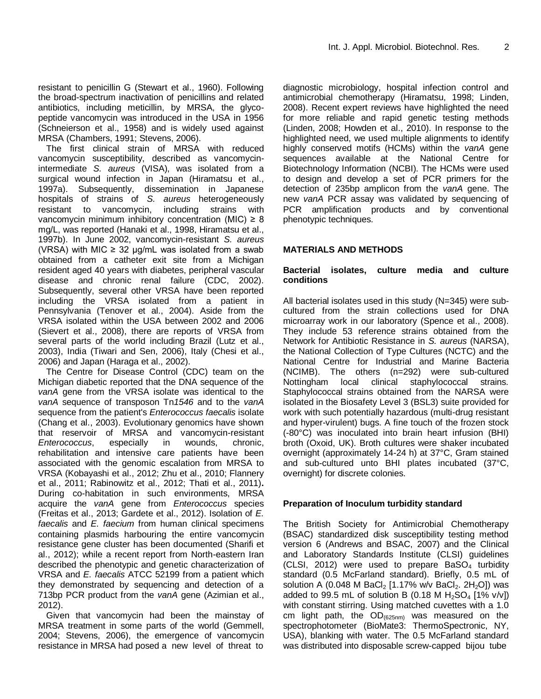resistant to penicillin G (Stewart et al., 1960). Following the broad-spectrum inactivation of penicillins and related antibiotics, including meticillin, by MRSA, the glycopeptide vancomycin was introduced in the USA in 1956 (Schneierson et al., 1958) and is widely used against MRSA (Chambers, 1991; Stevens, 2006).

The first clinical strain of MRSA with reduced vancomycin susceptibility, described as vancomycinintermediate *S. aureus* (VISA), was isolated from a surgical wound infection in Japan (Hiramatsu et al., 1997a). Subsequently, dissemination in Japanese hospitals of strains of *S. aureus* heterogeneously resistant to vancomycin, including strains with vancomycin minimum inhibitory concentration (MIC)  $\geq 8$ mg/L, was reported (Hanaki et al., 1998, Hiramatsu et al., 1997b). In June 2002, vancomycin-resistant *S. aureus* (VRSA) with MIC  $\geq$  32 µg/mL was isolated from a swab obtained from a catheter exit site from a Michigan resident aged 40 years with diabetes, peripheral vascular disease and chronic renal failure (CDC, 2002). Subsequently, several other VRSA have been reported including the VRSA isolated from a patient in Pennsylvania (Tenover et al., 2004). Aside from the VRSA isolated within the USA between 2002 and 2006 (Sievert et al., 2008), there are reports of VRSA from several parts of the world including Brazil (Lutz et al., 2003), India (Tiwari and Sen, 2006), Italy (Chesi et al., 2006) and Japan (Haraga et al., 2002).

The Centre for Disease Control (CDC) team on the Michigan diabetic reported that the DNA sequence of the *vanA* gene from the VRSA isolate was identical to the *vanA* sequence of transposon Tn*1546* and to the *vanA* sequence from the patient's *Enterococcus faecalis* isolate (Chang et al., 2003). Evolutionary genomics have shown that reservoir of MRSA and vancomycin-resistant *Enterococcus*, especially in wounds, chronic, rehabilitation and intensive care patients have been associated with the genomic escalation from MRSA to VRSA (Kobayashi et al., 2012; Zhu et al., 2010; Flannery et al., 2011; Rabinowitz et al., 2012; Thati et al., 2011)**.**  During co-habitation in such environments, MRSA acquire the *vanA* gene from *Enterococcus* species (Freitas et al., 2013; Gardete et al., 2012). Isolation of *E. faecalis* and *E. faecium* from human clinical specimens containing plasmids harbouring the entire vancomycin resistance gene cluster has been documented (Sharifi et al., 2012); while a recent report from North-eastern Iran described the phenotypic and genetic characterization of VRSA and *E. faecalis* ATCC 52199 from a patient which they demonstrated by sequencing and detection of a 713bp PCR product from the *vanA* gene (Azimian et al., 2012).

Given that vancomycin had been the mainstay of MRSA treatment in some parts of the world (Gemmell, 2004; Stevens, 2006), the emergence of vancomycin resistance in MRSA had posed a new level of threat to diagnostic microbiology, hospital infection control and antimicrobial chemotherapy (Hiramatsu, 1998; Linden, 2008). Recent expert reviews have highlighted the need for more reliable and rapid genetic testing methods (Linden, 2008; Howden et al., 2010). In response to the highlighted need, we used multiple alignments to identify highly conserved motifs (HCMs) within the *vanA* gene sequences available at the National Centre for Biotechnology Information (NCBI). The HCMs were used to design and develop a set of PCR primers for the detection of 235bp amplicon from the *vanA* gene. The new *vanA* PCR assay was validated by sequencing of PCR amplification products and by conventional phenotypic techniques.

# **MATERIALS AND METHODS**

## **Bacterial isolates, culture media and culture conditions**

All bacterial isolates used in this study (N=345) were subcultured from the strain collections used for DNA microarray work in our laboratory (Spence et al., 2008). They include 53 reference strains obtained from the Network for Antibiotic Resistance in *S. aureus* (NARSA), the National Collection of Type Cultures (NCTC) and the National Centre for Industrial and Marine Bacteria (NCIMB). The others (n=292) were sub-cultured Nottingham local clinical staphylococcal strains. Staphylococcal strains obtained from the NARSA were isolated in the Biosafety Level 3 (BSL3) suite provided for work with such potentially hazardous (multi-drug resistant and hyper-virulent) bugs. A fine touch of the frozen stock (-80°C) was inoculated into brain heart infusion (BHI) broth (Oxoid, UK). Broth cultures were shaker incubated overnight (approximately 14-24 h) at 37°C, Gram stained and sub-cultured unto BHI plates incubated (37°C, overnight) for discrete colonies.

# **Preparation of Inoculum turbidity standard**

The British Society for Antimicrobial Chemotherapy (BSAC) standardized disk susceptibility testing method version 6 (Andrews and BSAC, 2007) and the Clinical and Laboratory Standards Institute (CLSI) guidelines (CLSI, 2012) were used to prepare  $BaSO<sub>4</sub>$  turbidity standard (0.5 McFarland standard). Briefly, 0.5 mL of solution A (0.048 M BaCl<sub>2</sub> [1.17% w/v BaCl<sub>2</sub>. 2H<sub>2</sub>O]) was added to 99.5 mL of solution B (0.18 M  $H_2SO_4$  [1% v/v]) with constant stirring. Using matched cuvettes with a 1.0 cm light path, the  $OD_{(625nm)}$  was measured on the spectrophotometer (BioMate3: ThermoSpectronic, NY, USA), blanking with water. The 0.5 McFarland standard was distributed into disposable screw-capped bijou tube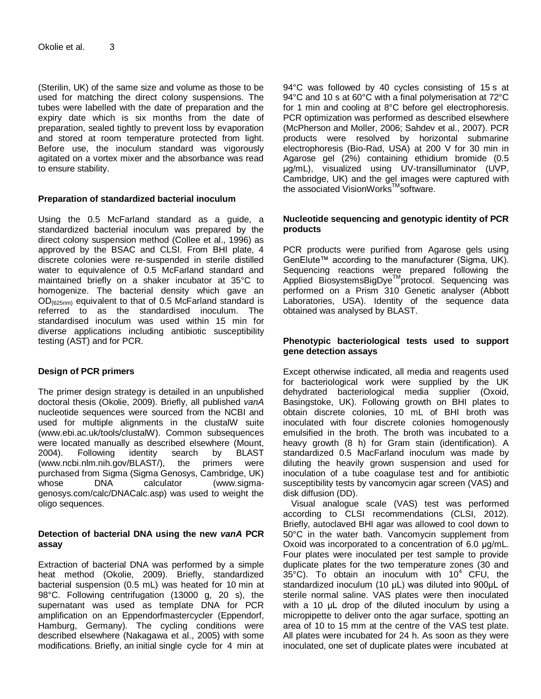(Sterilin, UK) of the same size and volume as those to be used for matching the direct colony suspensions. The tubes were labelled with the date of preparation and the expiry date which is six months from the date of preparation, sealed tightly to prevent loss by evaporation and stored at room temperature protected from light. Before use, the inoculum standard was vigorously agitated on a vortex mixer and the absorbance was read to ensure stability.

## **Preparation of standardized bacterial inoculum**

Using the 0.5 McFarland standard as a guide, a standardized bacterial inoculum was prepared by the direct colony suspension method (Collee et al., 1996) as approved by the BSAC and CLSI. From BHI plate, 4 discrete colonies were re-suspended in sterile distilled water to equivalence of 0.5 McFarland standard and maintained briefly on a shaker incubator at 35°C to homogenize. The bacterial density which gave an  $OD_{(625nm)}$  equivalent to that of 0.5 McFarland standard is referred to as the standardised inoculum. The standardised inoculum was used within 15 min for diverse applications including antibiotic susceptibility testing (AST) and for PCR.

# **Design of PCR primers**

The primer design strategy is detailed in an unpublished doctoral thesis (Okolie, 2009). Briefly, all published *vanA* nucleotide sequences were sourced from the NCBI and used for multiple alignments in the clustalW suite [\(www.ebi.ac.uk/tools/clustalW\)](www.ebi.ac.uk/tools/clustalW). Common subsequences were located manually as described elsewhere (Mount, 2004). Following identity search by BLAST [\(www.ncbi.nlm.nih.gov/BLAST/\)](www.ncbi.nlm.nih.gov/BLAST/), the primers were purchased from Sigma (Sigma Genosys, Cambridge, UK) whose **DNA** calculator [\(www.sigma](www.sigma-genosys.com/calc/DNACalc.asp)[genosys.com/calc/DNACalc.asp\)](www.sigma-genosys.com/calc/DNACalc.asp) was used to weight the oligo sequences.

### **Detection of bacterial DNA using the new** *vanA* **PCR assay**

Extraction of bacterial DNA was performed by a simple heat method (Okolie, 2009). Briefly, standardized bacterial suspension (0.5 mL) was heated for 10 min at 98°C. Following centrifugation (13000 g, 20 s), the supernatant was used as template DNA for PCR amplification on an Eppendorfmastercycler (Eppendorf, Hamburg, Germany). The cycling conditions were described elsewhere (Nakagawa et al., 2005) with some modifications. Briefly, an initial single cycle for 4 min at

94°C was followed by 40 cycles consisting of 15 s at 94°C and 10 s at 60°C with a final polymerisation at 72°C for 1 min and cooling at 8°C before gel electrophoresis. PCR optimization was performed as described elsewhere (McPherson and Moller, 2006; Sahdev et al., 2007). PCR products were resolved by horizontal submarine electrophoresis (Bio-Rad, USA) at 200 V for 30 min in Agarose gel (2%) containing ethidium bromide (0.5 μg/mL), visualized using UV-transilluminator (UVP, Cambridge, UK) and the gel images were captured with the associated VisionWorks™software.

### **Nucleotide sequencing and genotypic identity of PCR products**

PCR products were purified from Agarose gels using GenElute™ according to the manufacturer (Sigma, UK). Sequencing reactions were prepared following the Applied BiosystemsBigDye<sup>™</sup>protocol. Sequencing was performed on a Prism 310 Genetic analyser (Abbott Laboratories, USA). Identity of the sequence data obtained was analysed by BLAST.

### **Phenotypic bacteriological tests used to support gene detection assays**

Except otherwise indicated, all media and reagents used for bacteriological work were supplied by the UK dehydrated bacteriological media supplier (Oxoid, Basingstoke, UK). Following growth on BHI plates to obtain discrete colonies, 10 mL of BHI broth was inoculated with four discrete colonies homogenously emulsified in the broth. The broth was incubated to a heavy growth (8 h) for Gram stain (identification). A standardized 0.5 MacFarland inoculum was made by diluting the heavily grown suspension and used for inoculation of a tube coagulase test and for antibiotic susceptibility tests by vancomycin agar screen (VAS) and disk diffusion (DD).

Visual analogue scale (VAS) test was performed according to CLSI recommendations (CLSI, 2012). Briefly, autoclaved BHI agar was allowed to cool down to 50°C in the water bath. Vancomycin supplement from Oxoid was incorporated to a concentration of 6.0 μg/mL. Four plates were inoculated per test sample to provide duplicate plates for the two temperature zones (30 and  $35^{\circ}$ C). To obtain an inoculum with 10<sup>4</sup> CFU, the standardized inoculum (10 μL) was diluted into 900μL of sterile normal saline. VAS plates were then inoculated with a 10 μL drop of the diluted inoculum by using a micropipette to deliver onto the agar surface, spotting an area of 10 to 15 mm at the centre of the VAS test plate. All plates were incubated for 24 h. As soon as they were inoculated, one set of duplicate plates were incubated at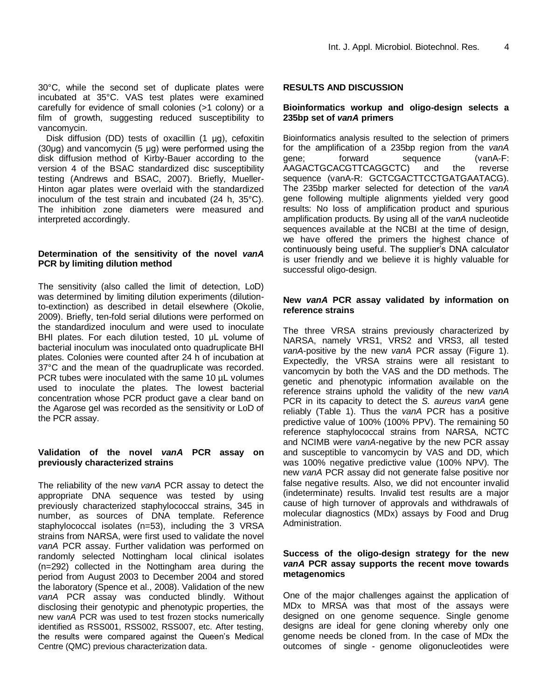30°C, while the second set of duplicate plates were incubated at 35°C. VAS test plates were examined carefully for evidence of small colonies (>1 colony) or a film of growth, suggesting reduced susceptibility to vancomycin.

Disk diffusion (DD) tests of oxacillin (1 μg), cefoxitin (30μg) and vancomycin (5 μg) were performed using the disk diffusion method of Kirby-Bauer according to the version 4 of the BSAC standardized disc susceptibility testing (Andrews and BSAC, 2007). Briefly, Mueller-Hinton agar plates were overlaid with the standardized inoculum of the test strain and incubated (24 h, 35°C). The inhibition zone diameters were measured and interpreted accordingly.

#### **Determination of the sensitivity of the novel** *vanA* **PCR by limiting dilution method**

The sensitivity (also called the limit of detection, LoD) was determined by limiting dilution experiments (dilutionto-extinction) as described in detail elsewhere (Okolie, 2009). Briefly, ten-fold serial dilutions were performed on the standardized inoculum and were used to inoculate BHI plates. For each dilution tested, 10 μL volume of bacterial inoculum was inoculated onto quadruplicate BHI plates. Colonies were counted after 24 h of incubation at 37°C and the mean of the quadruplicate was recorded. PCR tubes were inoculated with the same 10 µL volumes used to inoculate the plates. The lowest bacterial concentration whose PCR product gave a clear band on the Agarose gel was recorded as the sensitivity or LoD of the PCR assay.

#### **Validation of the novel** *vanA* **PCR assay on previously characterized strains**

The reliability of the new *vanA* PCR assay to detect the appropriate DNA sequence was tested by using previously characterized staphylococcal strains, 345 in number, as sources of DNA template. Reference staphylococcal isolates (n=53), including the 3 VRSA strains from NARSA, were first used to validate the novel *vanA* PCR assay. Further validation was performed on randomly selected Nottingham local clinical isolates (n=292) collected in the Nottingham area during the period from August 2003 to December 2004 and stored the laboratory (Spence et al., 2008). Validation of the new *vanA* PCR assay was conducted blindly. Without disclosing their genotypic and phenotypic properties, the new *vanA* PCR was used to test frozen stocks numerically identified as RSS001, RSS002, RSS007, etc. After testing, the results were compared against the Queen's Medical Centre (QMC) previous characterization data.

## **RESULTS AND DISCUSSION**

#### **Bioinformatics workup and oligo-design selects a 235bp set of** *vanA* **primers**

Bioinformatics analysis resulted to the selection of primers for the amplification of a 235bp region from the *vanA* gene; forward sequence (vanA-F: AAGACTGCACGTTCAGGCTC) and the reverse sequence (vanA-R: GCTCGACTTCCTGATGAATACG). The 235bp marker selected for detection of the *vanA* gene following multiple alignments yielded very good results: No loss of amplification product and spurious amplification products. By using all of the *vanA* nucleotide sequences available at the NCBI at the time of design, we have offered the primers the highest chance of continuously being useful. The supplier's DNA calculator is user friendly and we believe it is highly valuable for successful oligo-design.

#### **New** *vanA* **PCR assay validated by information on reference strains**

The three VRSA strains previously characterized by NARSA, namely VRS1, VRS2 and VRS3, all tested *vanA*-positive by the new *vanA* PCR assay (Figure 1). Expectedly, the VRSA strains were all resistant to vancomycin by both the VAS and the DD methods. The genetic and phenotypic information available on the reference strains uphold the validity of the new *vanA* PCR in its capacity to detect the *S. aureus vanA* gene reliably (Table 1). Thus the *vanA* PCR has a positive predictive value of 100% (100% PPV). The remaining 50 reference staphylococcal strains from NARSA, NCTC and NCIMB were *vanA*-negative by the new PCR assay and susceptible to vancomycin by VAS and DD, which was 100% negative predictive value (100% NPV). The new *vanA* PCR assay did not generate false positive nor false negative results. Also, we did not encounter invalid (indeterminate) results. Invalid test results are a major cause of high turnover of approvals and withdrawals of molecular diagnostics (MDx) assays by Food and Drug Administration.

### **Success of the oligo-design strategy for the new**  *vanA* **PCR assay supports the recent move towards metagenomics**

One of the major challenges against the application of MDx to MRSA was that most of the assays were designed on one genome sequence. Single genome designs are ideal for gene cloning whereby only one genome needs be cloned from. In the case of MDx the outcomes of single - genome oligonucleotides were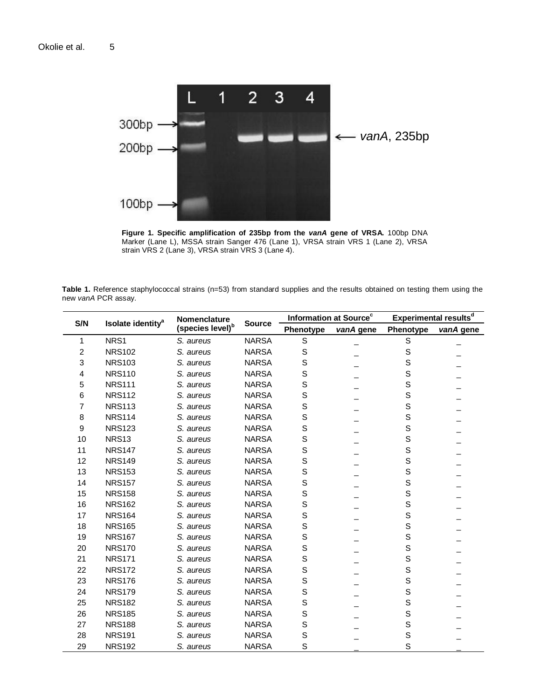

**Figure 1. Specific amplification of 235bp from the** *vanA* **gene of VRSA.** 100bp DNA Marker (Lane L), MSSA strain Sanger 476 (Lane 1), VRSA strain VRS 1 (Lane 2), VRSA strain VRS 2 (Lane 3), VRSA strain VRS 3 (Lane 4).

**Table 1.** Reference staphylococcal strains (n=53) from standard supplies and the results obtained on testing them using the new *vanA* PCR assay.

| S/N            | Isolate identity <sup>a</sup> | Nomenclature<br>(species level) <sup>b</sup> | <b>Source</b> | Information at Source <sup>c</sup> |           | Experimental results <sup>d</sup> |           |
|----------------|-------------------------------|----------------------------------------------|---------------|------------------------------------|-----------|-----------------------------------|-----------|
|                |                               |                                              |               | Phenotype                          | vanA gene | Phenotype                         | vanA gene |
| 1              | NRS1                          | S. aureus                                    | <b>NARSA</b>  | $\mathbf S$                        |           | $\mathsf S$                       |           |
| 2              | <b>NRS102</b>                 | S. aureus                                    | <b>NARSA</b>  | S                                  |           | $\mathsf S$                       |           |
| 3              | <b>NRS103</b>                 | S. aureus                                    | <b>NARSA</b>  | S                                  |           | S                                 |           |
| 4              | <b>NRS110</b>                 | S. aureus                                    | <b>NARSA</b>  | S                                  |           | S                                 |           |
| 5              | <b>NRS111</b>                 | S. aureus                                    | <b>NARSA</b>  | S                                  |           | $\mathsf S$                       |           |
| 6              | <b>NRS112</b>                 | S. aureus                                    | <b>NARSA</b>  | S                                  |           | S                                 |           |
| $\overline{7}$ | <b>NRS113</b>                 | S. aureus                                    | <b>NARSA</b>  | $\mathbf S$                        |           | $\mathsf S$                       |           |
| 8              | <b>NRS114</b>                 | S. aureus                                    | <b>NARSA</b>  | S                                  |           | S                                 |           |
| 9              | <b>NRS123</b>                 | S. aureus                                    | <b>NARSA</b>  | S                                  |           | $\mathsf S$                       |           |
| 10             | <b>NRS13</b>                  | S. aureus                                    | <b>NARSA</b>  | S                                  |           | S                                 |           |
| 11             | <b>NRS147</b>                 | S. aureus                                    | <b>NARSA</b>  | S                                  |           | $\mathsf S$                       |           |
| 12             | <b>NRS149</b>                 | S. aureus                                    | <b>NARSA</b>  | S                                  |           | $\mathsf S$                       |           |
| 13             | <b>NRS153</b>                 | S. aureus                                    | <b>NARSA</b>  | S                                  |           | S                                 |           |
| 14             | <b>NRS157</b>                 | S. aureus                                    | <b>NARSA</b>  | S                                  |           | $\mathsf S$                       |           |
| 15             | <b>NRS158</b>                 | S. aureus                                    | <b>NARSA</b>  | $\mathbf S$                        |           | $\mathsf S$                       |           |
| 16             | <b>NRS162</b>                 | S. aureus                                    | <b>NARSA</b>  | S                                  |           | S                                 |           |
| 17             | <b>NRS164</b>                 | S. aureus                                    | <b>NARSA</b>  | S                                  |           | $\mathsf S$                       |           |
| 18             | <b>NRS165</b>                 | S. aureus                                    | <b>NARSA</b>  | S                                  |           | S                                 |           |
| 19             | <b>NRS167</b>                 | S. aureus                                    | <b>NARSA</b>  | S                                  |           | $\mathbf S$                       |           |
| 20             | <b>NRS170</b>                 | S. aureus                                    | <b>NARSA</b>  | $\mathbf S$                        |           | $\mathsf S$                       |           |
| 21             | <b>NRS171</b>                 | S. aureus                                    | <b>NARSA</b>  | S                                  |           | S                                 |           |
| 22             | <b>NRS172</b>                 | S. aureus                                    | <b>NARSA</b>  | S                                  |           | $\mathsf S$                       |           |
| 23             | <b>NRS176</b>                 | S. aureus                                    | <b>NARSA</b>  | S                                  |           | S                                 |           |
| 24             | <b>NRS179</b>                 | S. aureus                                    | <b>NARSA</b>  | S                                  |           | $\mathsf S$                       |           |
| 25             | <b>NRS182</b>                 | S. aureus                                    | <b>NARSA</b>  | S                                  |           | $\mathsf S$                       |           |
| 26             | <b>NRS185</b>                 | S. aureus                                    | <b>NARSA</b>  | S                                  |           | $\mathsf S$                       |           |
| 27             | <b>NRS188</b>                 | S. aureus                                    | <b>NARSA</b>  | S                                  |           | $\mathsf S$                       |           |
| 28             | <b>NRS191</b>                 | S. aureus                                    | <b>NARSA</b>  | S                                  |           | S                                 |           |
| 29             | <b>NRS192</b>                 | S. aureus                                    | <b>NARSA</b>  | S                                  |           | S                                 |           |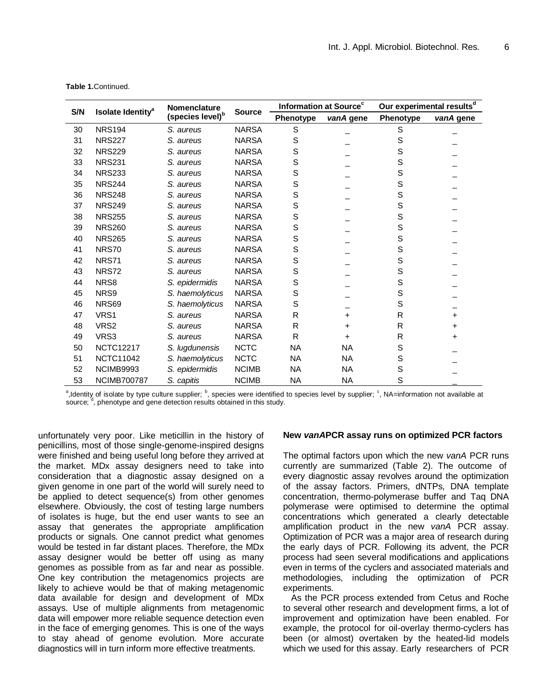| S/N |                               | Nomenclature                 | <b>Source</b> | Information at Source <sup>c</sup> |           | Our experimental results <sup>d</sup> |           |
|-----|-------------------------------|------------------------------|---------------|------------------------------------|-----------|---------------------------------------|-----------|
|     | Isolate Identity <sup>a</sup> | (species level) <sup>b</sup> |               | Phenotype                          | vanA gene | Phenotype                             | vanA gene |
| 30  | <b>NRS194</b>                 | S. aureus                    | <b>NARSA</b>  | S                                  |           | S                                     |           |
| 31  | <b>NRS227</b>                 | S. aureus                    | <b>NARSA</b>  | S                                  |           | S                                     |           |
| 32  | <b>NRS229</b>                 | S. aureus                    | <b>NARSA</b>  | S                                  |           | S                                     |           |
| 33  | <b>NRS231</b>                 | S. aureus                    | <b>NARSA</b>  | S                                  |           | S                                     |           |
| 34  | <b>NRS233</b>                 | S. aureus                    | <b>NARSA</b>  | S                                  |           | S                                     |           |
| 35  | <b>NRS244</b>                 | S. aureus                    | <b>NARSA</b>  | S                                  |           | S                                     |           |
| 36  | <b>NRS248</b>                 | S. aureus                    | <b>NARSA</b>  | S                                  |           | S                                     |           |
| 37  | <b>NRS249</b>                 | S. aureus                    | <b>NARSA</b>  | S                                  |           | S                                     |           |
| 38  | <b>NRS255</b>                 | S. aureus                    | <b>NARSA</b>  | S                                  |           | S                                     |           |
| 39  | <b>NRS260</b>                 | S. aureus                    | <b>NARSA</b>  | S                                  |           | S                                     |           |
| 40  | <b>NRS265</b>                 | S. aureus                    | <b>NARSA</b>  | S                                  |           | S                                     |           |
| 41  | <b>NRS70</b>                  | S. aureus                    | <b>NARSA</b>  | S                                  |           | S                                     |           |
| 42  | <b>NRS71</b>                  | S. aureus                    | <b>NARSA</b>  | S                                  |           | S                                     |           |
| 43  | <b>NRS72</b>                  | S. aureus                    | <b>NARSA</b>  | S                                  |           | S                                     |           |
| 44  | NRS8                          | S. epidermidis               | <b>NARSA</b>  | S                                  |           | S                                     |           |
| 45  | NRS9                          | S. haemolyticus              | <b>NARSA</b>  | S                                  |           | S                                     |           |
| 46  | <b>NRS69</b>                  | S. haemolyticus              | <b>NARSA</b>  | S                                  |           | S                                     |           |
| 47  | VRS1                          | S. aureus                    | <b>NARSA</b>  | R                                  | +         | R                                     | $\ddot{}$ |
| 48  | VRS <sub>2</sub>              | S. aureus                    | <b>NARSA</b>  | R                                  | +         | R                                     | $\ddot{}$ |
| 49  | VRS3                          | S. aureus                    | <b>NARSA</b>  | R                                  | +         | R                                     | +         |
| 50  | <b>NCTC12217</b>              | S. lugdunensis               | <b>NCTC</b>   | <b>NA</b>                          | <b>NA</b> | S                                     |           |
| 51  | <b>NCTC11042</b>              | S. haemolyticus              | <b>NCTC</b>   | <b>NA</b>                          | <b>NA</b> | S                                     |           |
| 52  | NCIMB9993                     | S. epidermidis               | <b>NCIMB</b>  | <b>NA</b>                          | <b>NA</b> | S                                     |           |
| 53  | <b>NCIMB700787</b>            | S. capitis                   | <b>NCIMB</b>  | <b>NA</b>                          | <b>NA</b> | S                                     |           |

**Table 1.**Continued.

a,Identity of isolate by type culture supplier; <sup>b</sup>, species were identified to species level by supplier; <sup>c</sup>, NA=information not available at source;  $d$ , phenotype and gene detection results obtained in this study.

unfortunately very poor. Like meticillin in the history of penicillins, most of those single-genome-inspired designs were finished and being useful long before they arrived at the market. MDx assay designers need to take into consideration that a diagnostic assay designed on a given genome in one part of the world will surely need to be applied to detect sequence(s) from other genomes elsewhere. Obviously, the cost of testing large numbers of isolates is huge, but the end user wants to see an assay that generates the appropriate amplification products or signals. One cannot predict what genomes would be tested in far distant places. Therefore, the MDx assay designer would be better off using as many genomes as possible from as far and near as possible. One key contribution the metagenomics projects are likely to achieve would be that of making metagenomic data available for design and development of MDx assays. Use of multiple alignments from metagenomic data will empower more reliable sequence detection even in the face of emerging genomes. This is one of the ways to stay ahead of genome evolution. More accurate diagnostics will in turn inform more effective treatments.

#### **New** *vanA***PCR assay runs on optimized PCR factors**

The optimal factors upon which the new *vanA* PCR runs currently are summarized (Table 2). The outcome of every diagnostic assay revolves around the optimization of the assay factors. Primers, dNTPs, DNA template concentration, thermo-polymerase buffer and Taq DNA polymerase were optimised to determine the optimal concentrations which generated a clearly detectable amplification product in the new *vanA* PCR assay. Optimization of PCR was a major area of research during the early days of PCR. Following its advent, the PCR process had seen several modifications and applications even in terms of the cyclers and associated materials and methodologies, including the optimization of PCR experiments.

As the PCR process extended from Cetus and Roche to several other research and development firms, a lot of improvement and optimization have been enabled. For example, the protocol for oil-overlay thermo-cyclers has been (or almost) overtaken by the heated-lid models which we used for this assay. Early researchers of PCR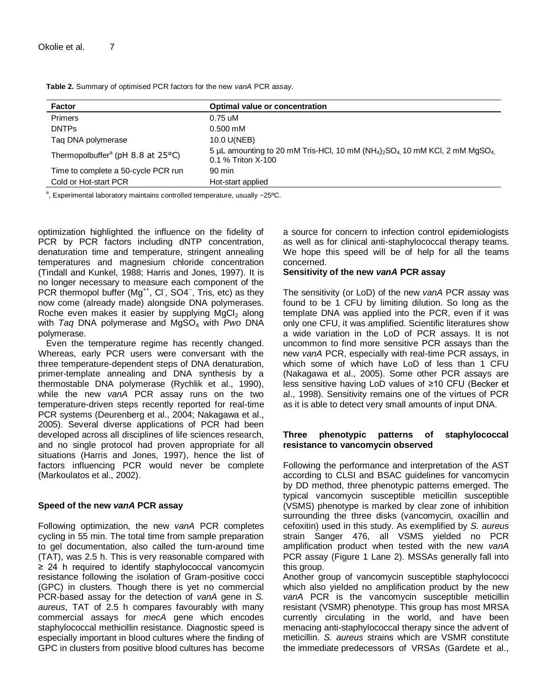**Table 2.** Summary of optimised PCR factors for the new *vanA* PCR assay.

| Optimal value or concentration                                                                                                              |
|---------------------------------------------------------------------------------------------------------------------------------------------|
| $0.75 \text{ uM}$                                                                                                                           |
| $0.500$ mM                                                                                                                                  |
| 10.0 U(NEB)                                                                                                                                 |
| 5 µL amounting to 20 mM Tris-HCl, 10 mM ( $NH_4$ ) <sub>2</sub> SO <sub>4</sub> 10 mM KCl, 2 mM MgSO <sub>4</sub> .<br>$0.1\%$ Triton X-100 |
| $90 \text{ min}$                                                                                                                            |
| Hot-start applied                                                                                                                           |
|                                                                                                                                             |

<sup>a</sup>, Experimental laboratory maintains controlled temperature, usually ~25°C.

optimization highlighted the influence on the fidelity of PCR by PCR factors including dNTP concentration, denaturation time and temperature, stringent annealing temperatures and magnesium chloride concentration (Tindall and Kunkel, 1988; Harris and Jones, 1997). It is no longer necessary to measure each component of the PCR thermopol buffer (Mg<sup>++</sup>, Cl, SO4<sup>--</sup>, Tris, etc) as they now come (already made) alongside DNA polymerases. Roche even makes it easier by supplying  $MgCl<sub>2</sub>$  along with *Taq* DNA polymerase and MgSO<sup>4</sup> with *Pwo* DNA polymerase.

Even the temperature regime has recently changed. Whereas, early PCR users were conversant with the three temperature-dependent steps of DNA denaturation, primer-template annealing and DNA synthesis by a thermostable DNA polymerase (Rychlik et al., 1990), while the new *vanA* PCR assay runs on the two temperature-driven steps recently reported for real-time PCR systems (Deurenberg et al., 2004; Nakagawa et al., 2005). Several diverse applications of PCR had been developed across all disciplines of life sciences research, and no single protocol had proven appropriate for all situations (Harris and Jones, 1997), hence the list of factors influencing PCR would never be complete (Markoulatos et al., 2002).

#### **Speed of the new** *vanA* **PCR assay**

Following optimization, the new *vanA* PCR completes cycling in 55 min. The total time from sample preparation to gel documentation, also called the turn-around time (TAT), was 2.5 h. This is very reasonable compared with ≥ 24 h required to identify staphylococcal vancomycin resistance following the isolation of Gram-positive cocci (GPC) in clusters. Though there is yet no commercial PCR-based assay for the detection of *vanA* gene in *S. aureus*, TAT of 2.5 h compares favourably with many commercial assays for *mecA* gene which encodes staphylococcal methicillin resistance. Diagnostic speed is especially important in blood cultures where the finding of GPC in clusters from positive blood cultures has become

a source for concern to infection control epidemiologists as well as for clinical anti-staphylococcal therapy teams. We hope this speed will be of help for all the teams concerned.

#### **Sensitivity of the new** *vanA* **PCR assay**

The sensitivity (or LoD) of the new *vanA* PCR assay was found to be 1 CFU by limiting dilution. So long as the template DNA was applied into the PCR, even if it was only one CFU, it was amplified. Scientific literatures show a wide variation in the LoD of PCR assays. It is not uncommon to find more sensitive PCR assays than the new *vanA* PCR, especially with real-time PCR assays, in which some of which have LoD of less than 1 CFU (Nakagawa et al., 2005). Some other PCR assays are less sensitive having LoD values of ≥10 CFU (Becker et al., 1998). Sensitivity remains one of the virtues of PCR as it is able to detect very small amounts of input DNA.

#### **Three phenotypic patterns of staphylococcal resistance to vancomycin observed**

Following the performance and interpretation of the AST according to CLSI and BSAC guidelines for vancomycin by DD method, three phenotypic patterns emerged. The typical vancomycin susceptible meticillin susceptible (VSMS) phenotype is marked by clear zone of inhibition surrounding the three disks (vancomycin, oxacillin and cefoxitin) used in this study. As exemplified by *S. aureus* strain Sanger 476, all VSMS yielded no PCR amplification product when tested with the new *vanA* PCR assay (Figure 1 Lane 2). MSSAs generally fall into this group.

Another group of vancomycin susceptible staphylococci which also yielded no amplification product by the new *vanA* PCR is the vancomycin susceptible meticillin resistant (VSMR) phenotype. This group has most MRSA currently circulating in the world, and have been menacing anti-staphylococcal therapy since the advent of meticillin. *S. aureus* strains which are VSMR constitute the immediate predecessors of VRSAs (Gardete et al.,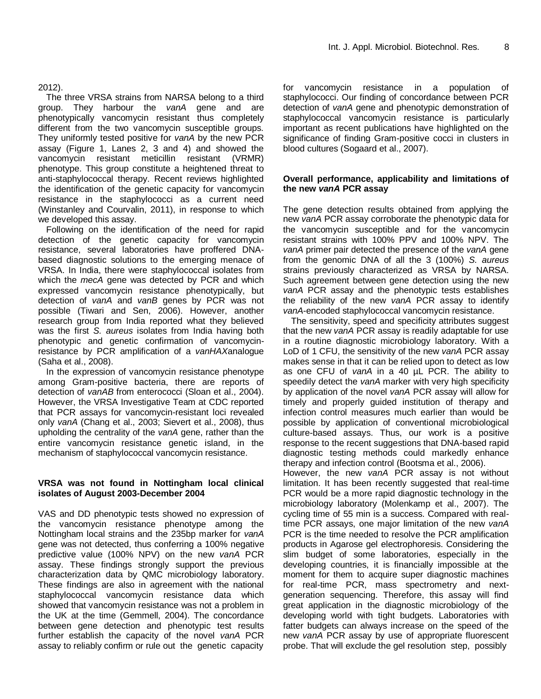2012).

The three VRSA strains from NARSA belong to a third group. They harbour the *vanA* gene and are phenotypically vancomycin resistant thus completely different from the two vancomycin susceptible groups. They uniformly tested positive for *vanA* by the new PCR assay (Figure 1, Lanes 2, 3 and 4) and showed the vancomycin resistant meticillin resistant (VRMR) phenotype. This group constitute a heightened threat to anti-staphylococcal therapy. Recent reviews highlighted the identification of the genetic capacity for vancomycin resistance in the staphylococci as a current need (Winstanley and Courvalin, 2011), in response to which we developed this assay.

Following on the identification of the need for rapid detection of the genetic capacity for vancomycin resistance, several laboratories have proffered DNAbased diagnostic solutions to the emerging menace of VRSA. In India, there were staphylococcal isolates from which the *mecA* gene was detected by PCR and which expressed vancomycin resistance phenotypically, but detection of *vanA* and *vanB* genes by PCR was not possible (Tiwari and Sen, 2006). However, another research group from India reported what they believed was the first *S. aureus* isolates from India having both phenotypic and genetic confirmation of vancomycinresistance by PCR amplification of a *vanHAX*analogue (Saha et al., 2008).

In the expression of vancomycin resistance phenotype among Gram-positive bacteria, there are reports of detection of *vanAB* from enterococci (Sloan et al., 2004). However, the VRSA Investigative Team at CDC reported that PCR assays for vancomycin-resistant loci revealed only *vanA* (Chang et al., 2003; Sievert et al., 2008), thus upholding the centrality of the *vanA* gene, rather than the entire vancomycin resistance genetic island, in the mechanism of staphylococcal vancomycin resistance.

### **VRSA was not found in Nottingham local clinical isolates of August 2003-December 2004**

VAS and DD phenotypic tests showed no expression of the vancomycin resistance phenotype among the Nottingham local strains and the 235bp marker for *vanA* gene was not detected, thus conferring a 100% negative predictive value (100% NPV) on the new *vanA* PCR assay. These findings strongly support the previous characterization data by QMC microbiology laboratory. These findings are also in agreement with the national staphylococcal vancomycin resistance data which showed that vancomycin resistance was not a problem in the UK at the time (Gemmell, 2004). The concordance between gene detection and phenotypic test results further establish the capacity of the novel *vanA* PCR assay to reliably confirm or rule out the genetic capacity

for vancomycin resistance in a population of staphylococci. Our finding of concordance between PCR detection of *vanA* gene and phenotypic demonstration of staphylococcal vancomycin resistance is particularly important as recent publications have highlighted on the significance of finding Gram-positive cocci in clusters in blood cultures (Sogaard et al., 2007).

## **Overall performance, applicability and limitations of the new** *vanA* **PCR assay**

The gene detection results obtained from applying the new *vanA* PCR assay corroborate the phenotypic data for the vancomycin susceptible and for the vancomycin resistant strains with 100% PPV and 100% NPV. The *vanA* primer pair detected the presence of the *vanA* gene from the genomic DNA of all the 3 (100%) *S. aureus* strains previously characterized as VRSA by NARSA. Such agreement between gene detection using the new *vanA* PCR assay and the phenotypic tests establishes the reliability of the new *vanA* PCR assay to identify *vanA*-encoded staphylococcal vancomycin resistance.

The sensitivity, speed and specificity attributes suggest that the new *vanA* PCR assay is readily adaptable for use in a routine diagnostic microbiology laboratory. With a LoD of 1 CFU, the sensitivity of the new *vanA* PCR assay makes sense in that it can be relied upon to detect as low as one CFU of *vanA* in a 40 µL PCR. The ability to speedily detect the *vanA* marker with very high specificity by application of the novel *vanA* PCR assay will allow for timely and properly guided institution of therapy and infection control measures much earlier than would be possible by application of conventional microbiological culture-based assays. Thus, our work is a positive response to the recent suggestions that DNA-based rapid diagnostic testing methods could markedly enhance therapy and infection control (Bootsma et al., 2006).

However, the new *vanA* PCR assay is not without limitation. It has been recently suggested that real-time PCR would be a more rapid diagnostic technology in the microbiology laboratory (Molenkamp et al., 2007). The cycling time of 55 min is a success. Compared with realtime PCR assays, one major limitation of the new *vanA* PCR is the time needed to resolve the PCR amplification products in Agarose gel electrophoresis. Considering the slim budget of some laboratories, especially in the developing countries, it is financially impossible at the moment for them to acquire super diagnostic machines for real-time PCR, mass spectrometry and nextgeneration sequencing. Therefore, this assay will find great application in the diagnostic microbiology of the developing world with tight budgets. Laboratories with fatter budgets can always increase on the speed of the new *vanA* PCR assay by use of appropriate fluorescent probe. That will exclude the gel resolution step, possibly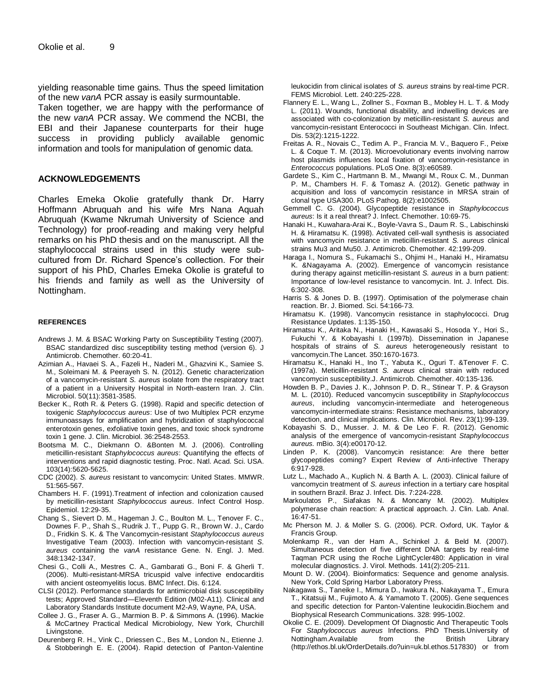yielding reasonable time gains. Thus the speed limitation of the new *vanA* PCR assay is easily surmountable.

Taken together, we are happy with the performance of the new *vanA* PCR assay. We commend the NCBI, the EBI and their Japanese counterparts for their huge success in providing publicly available genomic information and tools for manipulation of genomic data.

#### **ACKNOWLEDGEMENTS**

Charles Emeka Okolie gratefully thank Dr. Harry Hoffmann Abruquah and his wife Mrs Nana Aquah Abruquah (Kwame Nkrumah University of Science and Technology) for proof-reading and making very helpful remarks on his PhD thesis and on the manuscript. All the staphylococcal strains used in this study were subcultured from Dr. Richard Spence's collection. For their support of his PhD, Charles Emeka Okolie is grateful to his friends and family as well as the University of Nottingham.

#### **REFERENCES**

- Andrews J. M. & BSAC Working Party on Susceptibility Testing (2007). BSAC standardized disc susceptibility testing method (version 6). J Antimicrob. Chemother. 60:20-41.
- Azimian A., Havaei S. A., Fazeli H., Naderi M., Ghazvini K., Samiee S. M., Soleimani M. & Peerayeh S. N. (2012). Genetic characterization of a vancomycin-resistant *S. aureus* isolate from the respiratory tract of a patient in a University Hospital in North-eastern Iran. J. Clin. Microbiol. 50(11):3581-3585.
- Becker K., Roth R. & Peters G. (1998). Rapid and specific detection of toxigenic *Staphylococcus aureus*: Use of two Multiplex PCR enzyme immunoassays for amplification and hybridization of staphylococcal enterotoxin genes, exfoliative toxin genes, and toxic shock syndrome toxin 1 gene. J. Clin. Microbiol. 36:2548-2553.
- Bootsma M. C., Diekmann O. &Bonten M. J. (2006). Controlling meticillin-resistant *Staphylococcus aureus*: Quantifying the effects of interventions and rapid diagnostic testing. Proc. Natl. Acad. Sci. USA. 103(14):5620-5625.
- CDC (2002). *S. aureus* resistant to vancomycin: United States. MMWR. 51:565-567.
- Chambers H. F. (1991).Treatment of infection and colonization caused by meticillin-resistant *Staphylococcus aureus*. Infect Control Hosp. Epidemiol. 12:29-35.
- Chang S., Sievert D. M., Hageman J. C., Boulton M. L., Tenover F. C., Downes F. P., Shah S., Rudrik J. T., Pupp G. R., Brown W. J., Cardo D., Fridkin S. K. & The Vancomycin-resistant *Staphylococcus aureus*  Investigative Team (2003). Infection with vancomycin-resistant *S. aureus* containing the *vanA* resistance Gene. N. Engl. J. Med. 348:1342-1347.
- Chesi G., Colli A., Mestres C. A., Gambarati G., Boni F. & Gherli T. (2006). Multi-resistant-MRSA tricuspid valve infective endocarditis with ancient osteomyelitis locus. BMC Infect. Dis. 6:124.
- CLSI (2012). Performance standards for antimicrobial disk susceptibility tests; Approved Standard—Eleventh Edition (M02-A11). Clinical and Laboratory Standards Institute document M2-A9, Wayne, PA, USA.
- Collee J. G., Fraser A. G., Marmion B. P. & Simmons A. (1996). Mackie & McCartney Practical Medical Microbiology, New York, Churchill Livingstone.
- Deurenberg R. H., Vink C., Driessen C., Bes M., London N., Etienne J. & Stobberingh E. E. (2004). Rapid detection of Panton-Valentine

leukocidin from clinical isolates of *S. aureus* strains by real-time PCR. FEMS Microbiol. Lett. 240:225-228.

- Flannery E. L., Wang L., Zollner S., Foxman B., Mobley H. L. T. & Mody L. (2011). Wounds, functional disability, and indwelling devices are associated with co-colonization by meticillin-resistant *S. aureus* and vancomycin-resistant Enterococci in Southeast Michigan. Clin. Infect. Dis. 53(2):1215-1222.
- Freitas A. R., Novais C., Tedim A. P., Francia M. V., Baquero F., Peixe L. & Coque T. M. (2013). Microevolutionary events involving narrow host plasmids influences local fixation of vancomycin-resistance in *Enterococcus* populations. PLoS One. 8(3):e60589.
- Gardete S., Kim C., Hartmann B. M., Mwangi M., Roux C. M., Dunman P. M., Chambers H. F. & Tomasz A. (2012). Genetic pathway in acquisition and loss of vancomycin resistance in MRSA strain of clonal type USA300. PLoS Pathog. 8(2):e1002505.
- Gemmell C. G. (2004). Glycopeptide resistance in *Staphylococcus aureus*: Is it a real threat? J. Infect. Chemother. 10:69-75.
- Hanaki H., Kuwahara-Arai K., Boyle-Vavra S., Daum R. S., Labischinski H. & Hiramatsu K. (1998). Activated cell-wall synthesis is associated with vancomycin resistance in meticillin-resistant *S. aureus* clinical strains Mu3 and Mu50. J. Antimicrob. Chemother. 42:199-209.
- Haraga I., Nomura S., Fukamachi S., Ohjimi H., Hanaki H., Hiramatsu K. &Nagayama A. (2002). Emergence of vancomycin resistance during therapy against meticillin-resistant *S. aureus* in a burn patient: Importance of low-level resistance to vancomycin. Int. J. Infect. Dis. 6:302-308.
- Harris S. & Jones D. B. (1997). Optimisation of the polymerase chain reaction. Br. J. Biomed. Sci. 54:166-73.
- Hiramatsu K. (1998). Vancomycin resistance in staphylococci. Drug Resistance Updates. 1:135-150.
- Hiramatsu K., Aritaka N., Hanaki H., Kawasaki S., Hosoda Y., Hori S., Fukuchi Y. & Kobayashi I. (1997b). Dissemination in Japanese hospitals of strains of *S. aureus* heterogeneously resistant to vancomycin.The Lancet. 350:1670-1673.
- Hiramatsu K., Hanaki H., Ino T., Yabuta K., Oguri T. &Tenover F. C. (1997a). Meticillin-resistant *S. aureus* clinical strain with reduced vancomycin susceptibility.J. Antimicrob. Chemother. 40:135-136.
- Howden B. P., Davies J. K., Johnson P. D. R., Stinear T. P. & Grayson M. L. (2010). Reduced vancomycin susceptibility in *Staphylococcus aureus*, including vancomycin-intermediate and heterogeneous vancomycin-intermediate strains: Resistance mechanisms, laboratory detection, and clinical implications. Clin. Microbiol. Rev. 23(1):99-139.
- Kobayashi S. D., Musser. J. M. & De Leo F. R. (2012). Genomic analysis of the emergence of vancomycin-resistant *Staphylococcus aureus.* mBio. 3(4):e00170-12.
- Linden P. K. (2008). Vancomycin resistance: Are there better glycopeptides coming? Expert Review of Anti-infective Therapy 6:917-928.
- Lutz L., Machado A., Kuplich N. & Barth A. L. (2003). Clinical failure of vancomycin treatment of *S. aureus* infection in a tertiary care hospital in southern Brazil. Braz J. Infect. Dis. 7:224-228.
- Markoulatos P., Siafakas N. & Moncany M. (2002). Multiplex polymerase chain reaction: A practical approach. J. Clin. Lab. Anal. 16:47-51.
- Mc Pherson M. J. & Moller S. G. (2006). PCR. Oxford, UK. Taylor & Francis Group.
- Molenkamp R., van der Ham A., Schinkel J. & Beld M. (2007). Simultaneous detection of five different DNA targets by real-time Taqman PCR using the Roche LightCycler480: Application in viral molecular diagnostics. J. Virol. Methods. 141(2):205-211.
- Mount D. W. (2004). Bioinformatics: Sequence and genome analysis. New York, Cold Spring Harbor Laboratory Press.
- Nakagawa S., Taneike I., Mimura D., Iwakura N., Nakayama T., Emura T., Kitatsuji M., Fujimoto A. & Yamamoto T. (2005). Gene sequences and specific detection for Panton-Valentine leukocidin.Biochem and Biophysical Research Communications. 328: 995-1002.
- Okolie C. E. (2009). Development Of Diagnostic And Therapeutic Tools For *Staphylococcus aureus* Infections. PhD Thesis.University of Nottingham.Available from the British Library (http://ethos.bl.uk/OrderDetails.do?uin=uk.bl.ethos.517830) or from